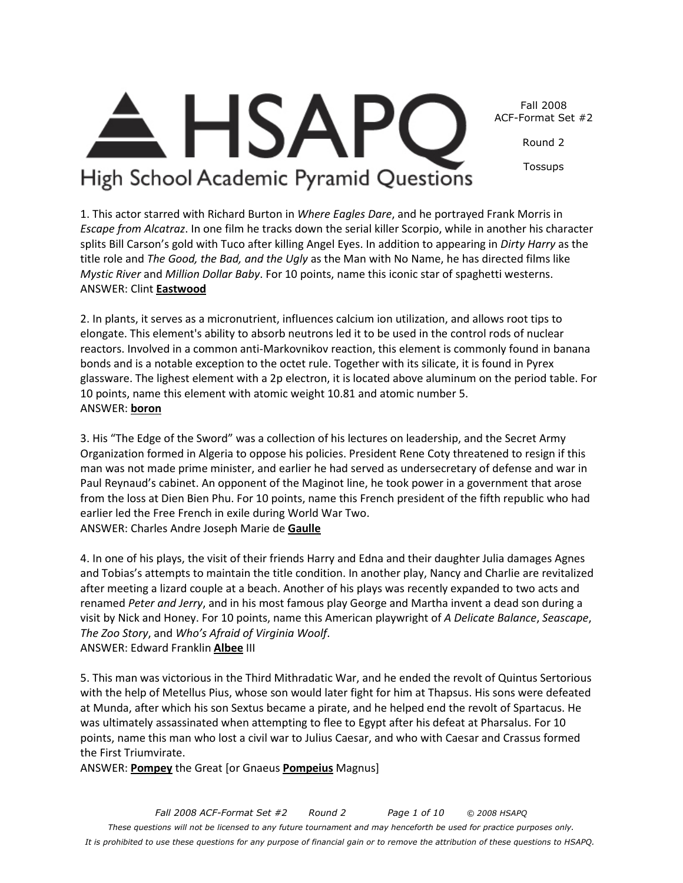Fall 2008 ACF-Format Set #2

Round 2

Tossups

High School Academic Pyramid Questions

1. This actor starred with Richard Burton in *Where Eagles Dare*, and he portrayed Frank Morris in *Escape from Alcatraz*. In one film he tracks down the serial killer Scorpio, while in another his character splits Bill Carson's gold with Tuco after killing Angel Eyes. In addition to appearing in *Dirty Harry* as the title role and *The Good, the Bad, and the Ugly* as the Man with No Name, he has directed films like *Mystic River* and *Million Dollar Baby*. For 10 points, name this iconic star of spaghetti westerns. ANSWER: Clint **Eastwood**

2. In plants, it serves as a micronutrient, influences calcium ion utilization, and allows root tips to elongate. This element's ability to absorb neutrons led it to be used in the control rods of nuclear reactors. Involved in a common anti-Markovnikov reaction, this element is commonly found in banana bonds and is a notable exception to the octet rule. Together with its silicate, it is found in Pyrex glassware. The lighest element with a 2p electron, it is located above aluminum on the period table. For 10 points, name this element with atomic weight 10.81 and atomic number 5. ANSWER: **boron**

3. His "The Edge of the Sword" was a collection of his lectures on leadership, and the Secret Army Organization formed in Algeria to oppose his policies. President Rene Coty threatened to resign if this man was not made prime minister, and earlier he had served as undersecretary of defense and war in Paul Reynaud's cabinet. An opponent of the Maginot line, he took power in a government that arose from the loss at Dien Bien Phu. For 10 points, name this French president of the fifth republic who had earlier led the Free French in exile during World War Two. ANSWER: Charles Andre Joseph Marie de **Gaulle**

4. In one of his plays, the visit of their friends Harry and Edna and their daughter Julia damages Agnes and Tobias's attempts to maintain the title condition. In another play, Nancy and Charlie are revitalized after meeting a lizard couple at a beach. Another of his plays was recently expanded to two acts and renamed *Peter and Jerry*, and in his most famous play George and Martha invent a dead son during a visit by Nick and Honey. For 10 points, name this American playwright of *A Delicate Balance*, *Seascape*, *The Zoo Story*, and *Who's Afraid of Virginia Woolf*. ANSWER: Edward Franklin **Albee** III

5. This man was victorious in the Third Mithradatic War, and he ended the revolt of Quintus Sertorious with the help of Metellus Pius, whose son would later fight for him at Thapsus. His sons were defeated at Munda, after which his son Sextus became a pirate, and he helped end the revolt of Spartacus. He was ultimately assassinated when attempting to flee to Egypt after his defeat at Pharsalus. For 10 points, name this man who lost a civil war to Julius Caesar, and who with Caesar and Crassus formed the First Triumvirate.

ANSWER: **Pompey** the Great [or Gnaeus **Pompeius** Magnus]

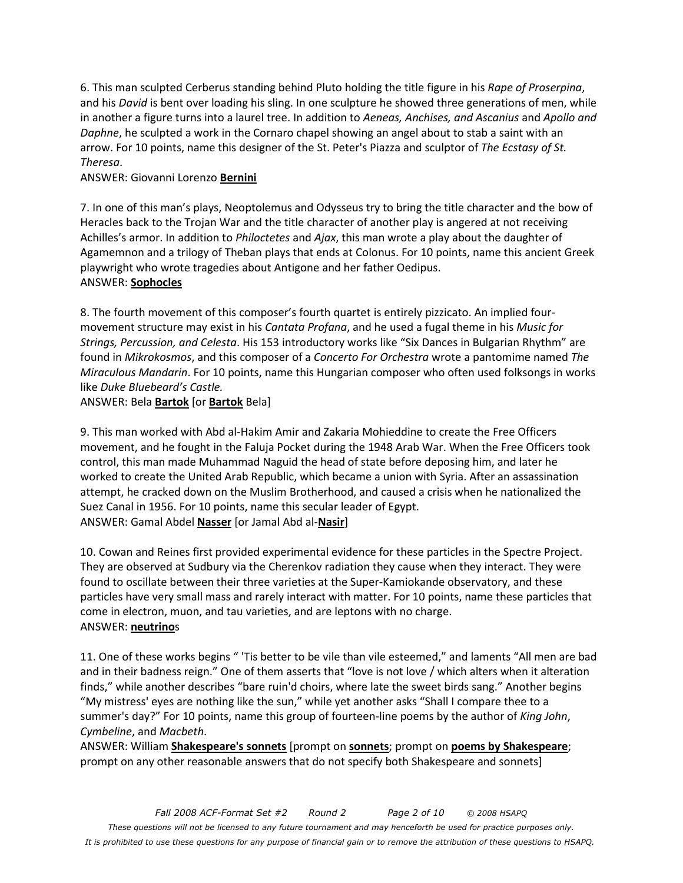6. This man sculpted Cerberus standing behind Pluto holding the title figure in his *Rape of Proserpina*, and his *David* is bent over loading his sling. In one sculpture he showed three generations of men, while in another a figure turns into a laurel tree. In addition to *Aeneas, Anchises, and Ascanius* and *Apollo and Daphne*, he sculpted a work in the Cornaro chapel showing an angel about to stab a saint with an arrow. For 10 points, name this designer of the St. Peter's Piazza and sculptor of *The Ecstasy of St. Theresa*.

#### ANSWER: Giovanni Lorenzo **Bernini**

7. In one of this man's plays, Neoptolemus and Odysseus try to bring the title character and the bow of Heracles back to the Trojan War and the title character of another play is angered at not receiving Achilles's armor. In addition to *Philoctetes* and *Ajax*, this man wrote a play about the daughter of Agamemnon and a trilogy of Theban plays that ends at Colonus. For 10 points, name this ancient Greek playwright who wrote tragedies about Antigone and her father Oedipus.

#### ANSWER: **Sophocles**

8. The fourth movement of this composer's fourth quartet is entirely pizzicato. An implied fourmovement structure may exist in his *Cantata Profana*, and he used a fugal theme in his *Music for Strings, Percussion, and Celesta*. His 153 introductory works like "Six Dances in Bulgarian Rhythm" are found in *Mikrokosmos*, and this composer of a *Concerto For Orchestra* wrote a pantomime named *The Miraculous Mandarin*. For 10 points, name this Hungarian composer who often used folksongs in works like *Duke Bluebeard's Castle.*

#### ANSWER: Bela **Bartok** [or **Bartok** Bela]

9. This man worked with Abd al-Hakim Amir and Zakaria Mohieddine to create the Free Officers movement, and he fought in the Faluja Pocket during the 1948 Arab War. When the Free Officers took control, this man made Muhammad Naguid the head of state before deposing him, and later he worked to create the United Arab Republic, which became a union with Syria. After an assassination attempt, he cracked down on the Muslim Brotherhood, and caused a crisis when he nationalized the Suez Canal in 1956. For 10 points, name this secular leader of Egypt. ANSWER: Gamal Abdel **Nasser** [or Jamal Abd al-**Nasir**]

10. Cowan and Reines first provided experimental evidence for these particles in the Spectre Project. They are observed at Sudbury via the Cherenkov radiation they cause when they interact. They were found to oscillate between their three varieties at the Super-Kamiokande observatory, and these particles have very small mass and rarely interact with matter. For 10 points, name these particles that come in electron, muon, and tau varieties, and are leptons with no charge. ANSWER: **neutrino**s

11. One of these works begins " 'Tis better to be vile than vile esteemed," and laments "All men are bad and in their badness reign." One of them asserts that "love is not love / which alters when it alteration finds," while another describes "bare ruin'd choirs, where late the sweet birds sang." Another begins "My mistress' eyes are nothing like the sun," while yet another asks "Shall I compare thee to a summer's day?" For 10 points, name this group of fourteen-line poems by the author of *King John*, *Cymbeline*, and *Macbeth*.

ANSWER: William **Shakespeare's sonnets** [prompt on **sonnets**; prompt on **poems by Shakespeare**; prompt on any other reasonable answers that do not specify both Shakespeare and sonnets]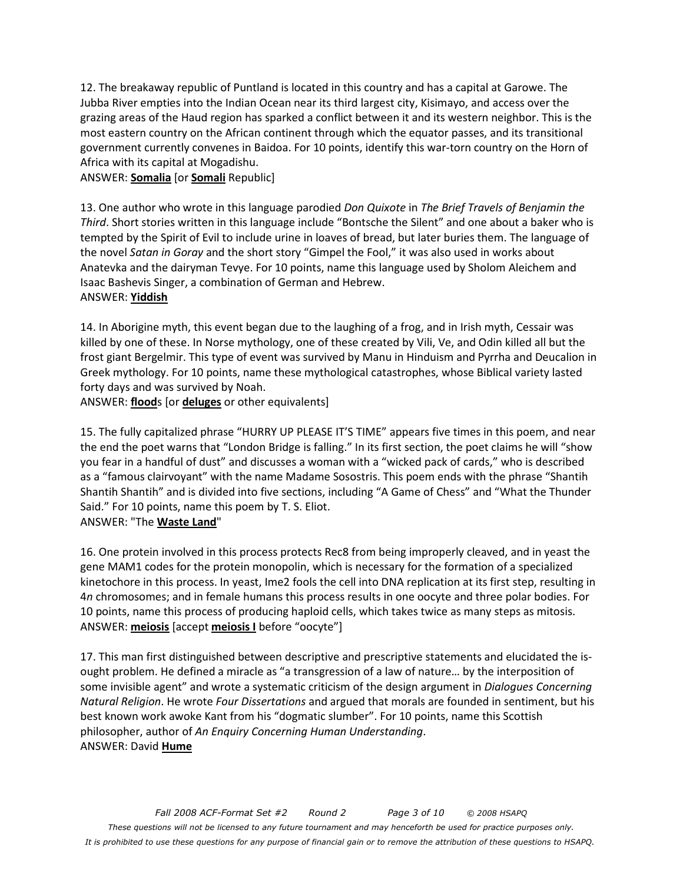12. The breakaway republic of Puntland is located in this country and has a capital at Garowe. The Jubba River empties into the Indian Ocean near its third largest city, Kisimayo, and access over the grazing areas of the Haud region has sparked a conflict between it and its western neighbor. This is the most eastern country on the African continent through which the equator passes, and its transitional government currently convenes in Baidoa. For 10 points, identify this war-torn country on the Horn of Africa with its capital at Mogadishu.

ANSWER: **Somalia** [or **Somali** Republic]

13. One author who wrote in this language parodied *Don Quixote* in *The Brief Travels of Benjamin the Third*. Short stories written in this language include "Bontsche the Silent" and one about a baker who is tempted by the Spirit of Evil to include urine in loaves of bread, but later buries them. The language of the novel *Satan in Goray* and the short story "Gimpel the Fool," it was also used in works about Anatevka and the dairyman Tevye. For 10 points, name this language used by Sholom Aleichem and Isaac Bashevis Singer, a combination of German and Hebrew. ANSWER: **Yiddish**

14. In Aborigine myth, this event began due to the laughing of a frog, and in Irish myth, Cessair was killed by one of these. In Norse mythology, one of these created by Vili, Ve, and Odin killed all but the frost giant Bergelmir. This type of event was survived by Manu in Hinduism and Pyrrha and Deucalion in Greek mythology. For 10 points, name these mythological catastrophes, whose Biblical variety lasted forty days and was survived by Noah.

ANSWER: **flood**s [or **deluges** or other equivalents]

15. The fully capitalized phrase "HURRY UP PLEASE IT'S TIME" appears five times in this poem, and near the end the poet warns that "London Bridge is falling." In its first section, the poet claims he will "show you fear in a handful of dust" and discusses a woman with a "wicked pack of cards," who is described as a "famous clairvoyant" with the name Madame Sosostris. This poem ends with the phrase "Shantih Shantih Shantih" and is divided into five sections, including "A Game of Chess" and "What the Thunder Said." For 10 points, name this poem by T. S. Eliot.

#### ANSWER: "The **Waste Land**"

16. One protein involved in this process protects Rec8 from being improperly cleaved, and in yeast the gene MAM1 codes for the protein monopolin, which is necessary for the formation of a specialized kinetochore in this process. In yeast, Ime2 fools the cell into DNA replication at its first step, resulting in 4*n* chromosomes; and in female humans this process results in one oocyte and three polar bodies. For 10 points, name this process of producing haploid cells, which takes twice as many steps as mitosis. ANSWER: **meiosis** [accept **meiosis I** before "oocyte"]

17. This man first distinguished between descriptive and prescriptive statements and elucidated the isought problem. He defined a miracle as "a transgression of a law of nature… by the interposition of some invisible agent" and wrote a systematic criticism of the design argument in *Dialogues Concerning Natural Religion*. He wrote *Four Dissertations* and argued that morals are founded in sentiment, but his best known work awoke Kant from his "dogmatic slumber". For 10 points, name this Scottish philosopher, author of *An Enquiry Concerning Human Understanding*. ANSWER: David **Hume**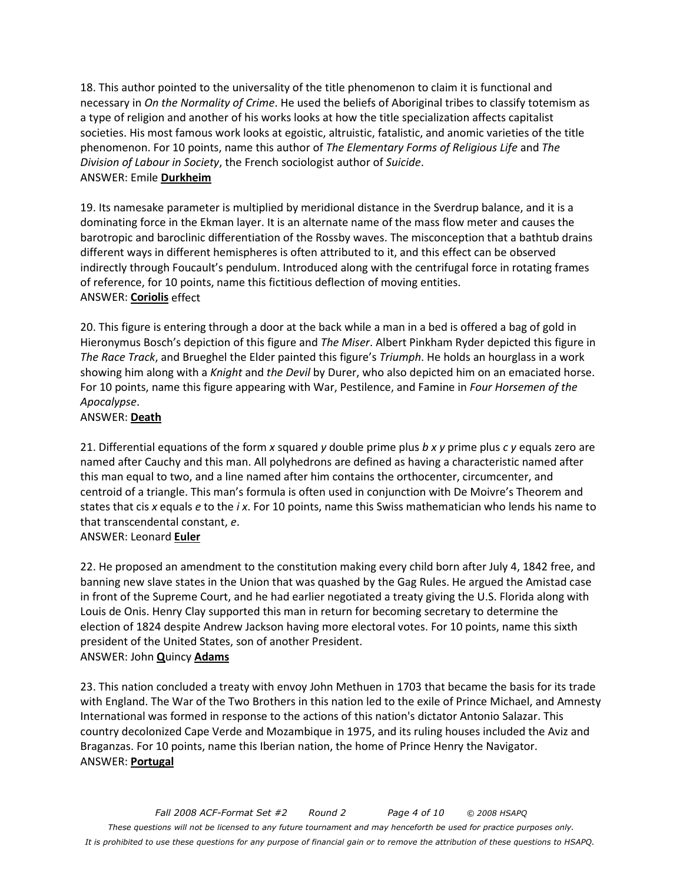18. This author pointed to the universality of the title phenomenon to claim it is functional and necessary in *On the Normality of Crime*. He used the beliefs of Aboriginal tribes to classify totemism as a type of religion and another of his works looks at how the title specialization affects capitalist societies. His most famous work looks at egoistic, altruistic, fatalistic, and anomic varieties of the title phenomenon. For 10 points, name this author of *The Elementary Forms of Religious Life* and *The Division of Labour in Society*, the French sociologist author of *Suicide*. ANSWER: Emile **Durkheim**

19. Its namesake parameter is multiplied by meridional distance in the Sverdrup balance, and it is a dominating force in the Ekman layer. It is an alternate name of the mass flow meter and causes the barotropic and baroclinic differentiation of the Rossby waves. The misconception that a bathtub drains different ways in different hemispheres is often attributed to it, and this effect can be observed indirectly through Foucault's pendulum. Introduced along with the centrifugal force in rotating frames of reference, for 10 points, name this fictitious deflection of moving entities. ANSWER: **Coriolis** effect

20. This figure is entering through a door at the back while a man in a bed is offered a bag of gold in Hieronymus Bosch's depiction of this figure and *The Miser*. Albert Pinkham Ryder depicted this figure in *The Race Track*, and Brueghel the Elder painted this figure's *Triumph*. He holds an hourglass in a work showing him along with a *Knight* and *the Devil* by Durer, who also depicted him on an emaciated horse. For 10 points, name this figure appearing with War, Pestilence, and Famine in *Four Horsemen of the Apocalypse*.

## ANSWER: **Death**

21. Differential equations of the form *x* squared *y* double prime plus *b x y* prime plus *c y* equals zero are named after Cauchy and this man. All polyhedrons are defined as having a characteristic named after this man equal to two, and a line named after him contains the orthocenter, circumcenter, and centroid of a triangle. This man's formula is often used in conjunction with De Moivre's Theorem and states that cis *x* equals *e* to the *i x*. For 10 points, name this Swiss mathematician who lends his name to that transcendental constant, *e*.

ANSWER: Leonard **Euler**

22. He proposed an amendment to the constitution making every child born after July 4, 1842 free, and banning new slave states in the Union that was quashed by the Gag Rules. He argued the Amistad case in front of the Supreme Court, and he had earlier negotiated a treaty giving the U.S. Florida along with Louis de Onis. Henry Clay supported this man in return for becoming secretary to determine the election of 1824 despite Andrew Jackson having more electoral votes. For 10 points, name this sixth president of the United States, son of another President. ANSWER: John **Q**uincy **Adams**

23. This nation concluded a treaty with envoy John Methuen in 1703 that became the basis for its trade with England. The War of the Two Brothers in this nation led to the exile of Prince Michael, and Amnesty International was formed in response to the actions of this nation's dictator Antonio Salazar. This country decolonized Cape Verde and Mozambique in 1975, and its ruling houses included the Aviz and Braganzas. For 10 points, name this Iberian nation, the home of Prince Henry the Navigator. ANSWER: **Portugal**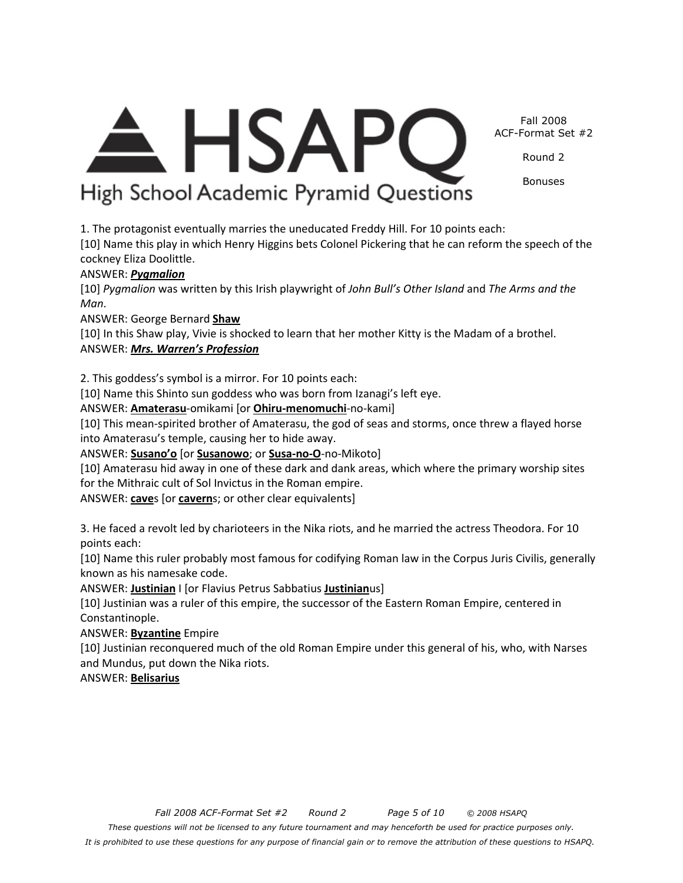*It is prohibited to use these questions for any purpose of financial gain or to remove the attribution of these questions to HSAPQ.*

# Fall 2008 ACF-Format Set #2

Round 2

Bonuses

<del>A</del> HSAPC High School Academic Pyramid Questions

1. The protagonist eventually marries the uneducated Freddy Hill. For 10 points each:

[10] Name this play in which Henry Higgins bets Colonel Pickering that he can reform the speech of the cockney Eliza Doolittle.

# ANSWER: *Pygmalion*

[10] *Pygmalion* was written by this Irish playwright of *John Bull's Other Island* and *The Arms and the Man*.

ANSWER: George Bernard **Shaw**

[10] In this Shaw play, Vivie is shocked to learn that her mother Kitty is the Madam of a brothel. ANSWER: *Mrs. Warren's Profession*

2. This goddess's symbol is a mirror. For 10 points each:

[10] Name this Shinto sun goddess who was born from Izanagi's left eye.

ANSWER: **Amaterasu**-omikami [or **Ohiru-menomuchi**-no-kami]

[10] This mean-spirited brother of Amaterasu, the god of seas and storms, once threw a flayed horse into Amaterasu's temple, causing her to hide away.

ANSWER: **Susano'o** [or **Susanowo**; or **Susa-no-O**-no-Mikoto]

[10] Amaterasu hid away in one of these dark and dank areas, which where the primary worship sites for the Mithraic cult of Sol Invictus in the Roman empire.

ANSWER: **cave**s [or **cavern**s; or other clear equivalents]

3. He faced a revolt led by charioteers in the Nika riots, and he married the actress Theodora. For 10 points each:

[10] Name this ruler probably most famous for codifying Roman law in the Corpus Juris Civilis, generally known as his namesake code.

ANSWER: **Justinian** I [or Flavius Petrus Sabbatius **Justinian**us]

[10] Justinian was a ruler of this empire, the successor of the Eastern Roman Empire, centered in Constantinople.

ANSWER: **Byzantine** Empire

[10] Justinian reconquered much of the old Roman Empire under this general of his, who, with Narses and Mundus, put down the Nika riots.

ANSWER: **Belisarius**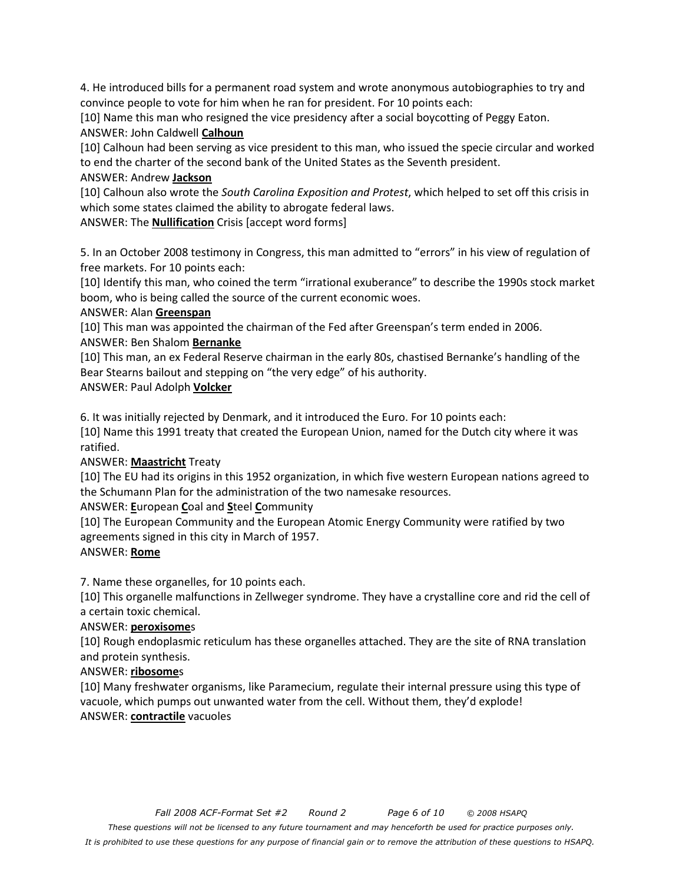4. He introduced bills for a permanent road system and wrote anonymous autobiographies to try and convince people to vote for him when he ran for president. For 10 points each:

[10] Name this man who resigned the vice presidency after a social boycotting of Peggy Eaton. ANSWER: John Caldwell **Calhoun**

[10] Calhoun had been serving as vice president to this man, who issued the specie circular and worked to end the charter of the second bank of the United States as the Seventh president.

#### ANSWER: Andrew **Jackson**

[10] Calhoun also wrote the *South Carolina Exposition and Protest*, which helped to set off this crisis in which some states claimed the ability to abrogate federal laws.

ANSWER: The **Nullification** Crisis [accept word forms]

5. In an October 2008 testimony in Congress, this man admitted to "errors" in his view of regulation of free markets. For 10 points each:

[10] Identify this man, who coined the term "irrational exuberance" to describe the 1990s stock market boom, who is being called the source of the current economic woes.

#### ANSWER: Alan **Greenspan**

[10] This man was appointed the chairman of the Fed after Greenspan's term ended in 2006. ANSWER: Ben Shalom **Bernanke**

[10] This man, an ex Federal Reserve chairman in the early 80s, chastised Bernanke's handling of the Bear Stearns bailout and stepping on "the very edge" of his authority.

ANSWER: Paul Adolph **Volcker**

6. It was initially rejected by Denmark, and it introduced the Euro. For 10 points each:

[10] Name this 1991 treaty that created the European Union, named for the Dutch city where it was ratified.

# ANSWER: **Maastricht** Treaty

[10] The EU had its origins in this 1952 organization, in which five western European nations agreed to the Schumann Plan for the administration of the two namesake resources.

# ANSWER: **E**uropean **C**oal and **S**teel **C**ommunity

[10] The European Community and the European Atomic Energy Community were ratified by two agreements signed in this city in March of 1957.

#### ANSWER: **Rome**

7. Name these organelles, for 10 points each.

[10] This organelle malfunctions in Zellweger syndrome. They have a crystalline core and rid the cell of a certain toxic chemical.

#### ANSWER: **peroxisome**s

[10] Rough endoplasmic reticulum has these organelles attached. They are the site of RNA translation and protein synthesis.

#### ANSWER: **ribosome**s

[10] Many freshwater organisms, like Paramecium, regulate their internal pressure using this type of vacuole, which pumps out unwanted water from the cell. Without them, they'd explode! ANSWER: **contractile** vacuoles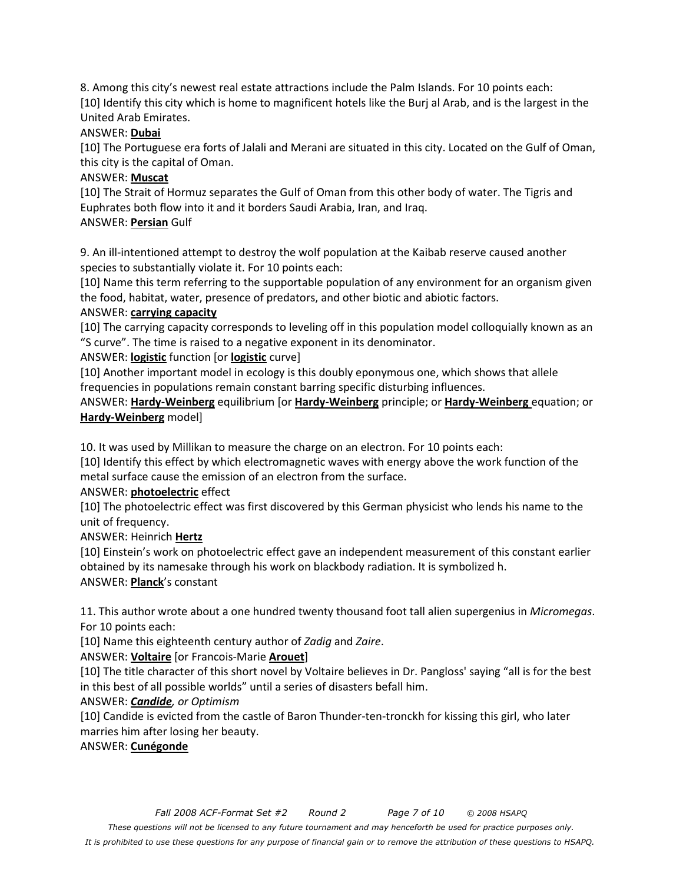8. Among this city's newest real estate attractions include the Palm Islands. For 10 points each: [10] Identify this city which is home to magnificent hotels like the Burj al Arab, and is the largest in the United Arab Emirates.

### ANSWER: **Dubai**

[10] The Portuguese era forts of Jalali and Merani are situated in this city. Located on the Gulf of Oman, this city is the capital of Oman.

## ANSWER: **Muscat**

[10] The Strait of Hormuz separates the Gulf of Oman from this other body of water. The Tigris and Euphrates both flow into it and it borders Saudi Arabia, Iran, and Iraq. ANSWER: **Persian** Gulf

9. An ill-intentioned attempt to destroy the wolf population at the Kaibab reserve caused another species to substantially violate it. For 10 points each:

[10] Name this term referring to the supportable population of any environment for an organism given the food, habitat, water, presence of predators, and other biotic and abiotic factors.

## ANSWER: **carrying capacity**

[10] The carrying capacity corresponds to leveling off in this population model colloquially known as an "S curve". The time is raised to a negative exponent in its denominator.

ANSWER: **logistic** function [or **logistic** curve]

[10] Another important model in ecology is this doubly eponymous one, which shows that allele frequencies in populations remain constant barring specific disturbing influences.

ANSWER: **Hardy-Weinberg** equilibrium [or **Hardy-Weinberg** principle; or **Hardy-Weinberg** equation; or **Hardy-Weinberg** model]

10. It was used by Millikan to measure the charge on an electron. For 10 points each:

[10] Identify this effect by which electromagnetic waves with energy above the work function of the metal surface cause the emission of an electron from the surface.

# ANSWER: **photoelectric** effect

[10] The photoelectric effect was first discovered by this German physicist who lends his name to the unit of frequency.

ANSWER: Heinrich **Hertz**

[10] Einstein's work on photoelectric effect gave an independent measurement of this constant earlier obtained by its namesake through his work on blackbody radiation. It is symbolized h. ANSWER: **Planck**'s constant

11. This author wrote about a one hundred twenty thousand foot tall alien supergenius in *Micromegas*. For 10 points each:

[10] Name this eighteenth century author of *Zadig* and *Zaire*.

# ANSWER: **Voltaire** [or Francois-Marie **Arouet**]

[10] The title character of this short novel by Voltaire believes in Dr. Pangloss' saying "all is for the best in this best of all possible worlds" until a series of disasters befall him.

#### ANSWER: *Candide, or Optimism*

[10] Candide is evicted from the castle of Baron Thunder-ten-tronckh for kissing this girl, who later marries him after losing her beauty.

ANSWER: **Cunégonde**

*These questions will not be licensed to any future tournament and may henceforth be used for practice purposes only.* 

*It is prohibited to use these questions for any purpose of financial gain or to remove the attribution of these questions to HSAPQ.*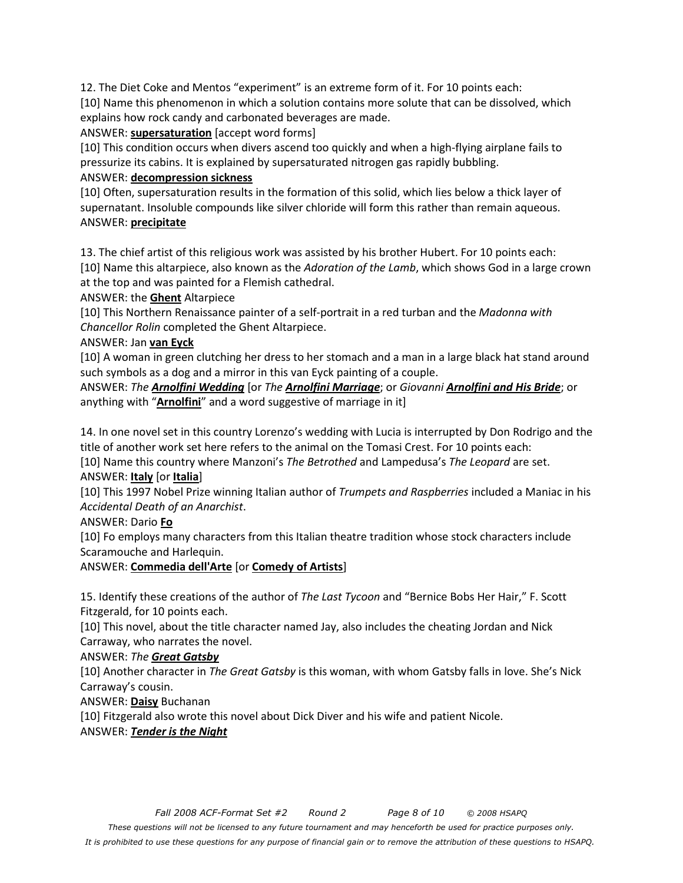12. The Diet Coke and Mentos "experiment" is an extreme form of it. For 10 points each: [10] Name this phenomenon in which a solution contains more solute that can be dissolved, which explains how rock candy and carbonated beverages are made.

#### ANSWER: **supersaturation** [accept word forms]

[10] This condition occurs when divers ascend too quickly and when a high-flying airplane fails to pressurize its cabins. It is explained by supersaturated nitrogen gas rapidly bubbling.

### ANSWER: **decompression sickness**

[10] Often, supersaturation results in the formation of this solid, which lies below a thick layer of supernatant. Insoluble compounds like silver chloride will form this rather than remain aqueous. ANSWER: **precipitate**

13. The chief artist of this religious work was assisted by his brother Hubert. For 10 points each: [10] Name this altarpiece, also known as the *Adoration of the Lamb*, which shows God in a large crown at the top and was painted for a Flemish cathedral.

ANSWER: the **Ghent** Altarpiece

[10] This Northern Renaissance painter of a self-portrait in a red turban and the *Madonna with Chancellor Rolin* completed the Ghent Altarpiece.

#### ANSWER: Jan **van Eyck**

[10] A woman in green clutching her dress to her stomach and a man in a large black hat stand around such symbols as a dog and a mirror in this van Eyck painting of a couple.

ANSWER: *The Arnolfini Wedding* [or *The Arnolfini Marriage*; or *Giovanni Arnolfini and His Bride*; or anything with "**Arnolfini**" and a word suggestive of marriage in it]

14. In one novel set in this country Lorenzo's wedding with Lucia is interrupted by Don Rodrigo and the title of another work set here refers to the animal on the Tomasi Crest. For 10 points each:

[10] Name this country where Manzoni's *The Betrothed* and Lampedusa's *The Leopard* are set. ANSWER: **Italy** [or **Italia**]

[10] This 1997 Nobel Prize winning Italian author of *Trumpets and Raspberries* included a Maniac in his *Accidental Death of an Anarchist*.

# ANSWER: Dario **Fo**

[10] Fo employs many characters from this Italian theatre tradition whose stock characters include Scaramouche and Harlequin.

# ANSWER: **Commedia dell'Arte** [or **Comedy of Artists**]

15. Identify these creations of the author of *The Last Tycoon* and "Bernice Bobs Her Hair," F. Scott Fitzgerald, for 10 points each.

[10] This novel, about the title character named Jay, also includes the cheating Jordan and Nick Carraway, who narrates the novel.

# ANSWER: *The Great Gatsby*

[10] Another character in *The Great Gatsby* is this woman, with whom Gatsby falls in love. She's Nick Carraway's cousin.

ANSWER: **Daisy** Buchanan

[10] Fitzgerald also wrote this novel about Dick Diver and his wife and patient Nicole.

#### ANSWER: *Tender is the Night*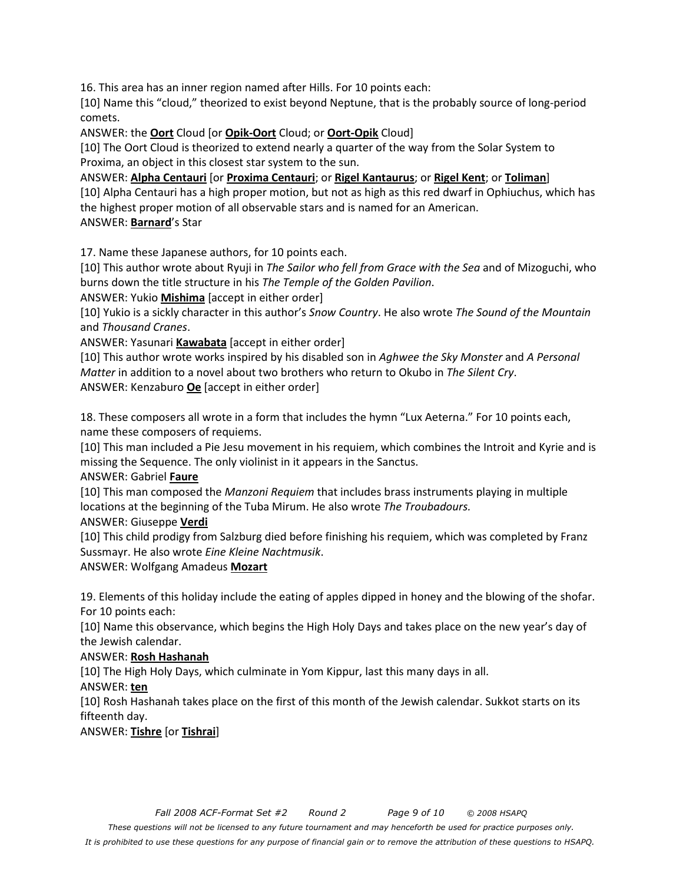16. This area has an inner region named after Hills. For 10 points each:

[10] Name this "cloud," theorized to exist beyond Neptune, that is the probably source of long-period comets.

ANSWER: the **Oort** Cloud [or **Opik-Oort** Cloud; or **Oort-Opik** Cloud]

[10] The Oort Cloud is theorized to extend nearly a quarter of the way from the Solar System to Proxima, an object in this closest star system to the sun.

ANSWER: **Alpha Centauri** [or **Proxima Centauri**; or **Rigel Kantaurus**; or **Rigel Kent**; or **Toliman**] [10] Alpha Centauri has a high proper motion, but not as high as this red dwarf in Ophiuchus, which has the highest proper motion of all observable stars and is named for an American.

ANSWER: **Barnard**'s Star

17. Name these Japanese authors, for 10 points each.

[10] This author wrote about Ryuji in *The Sailor who fell from Grace with the Sea* and of Mizoguchi, who burns down the title structure in his *The Temple of the Golden Pavilion*.

ANSWER: Yukio **Mishima** [accept in either order]

[10] Yukio is a sickly character in this author's *Snow Country*. He also wrote *The Sound of the Mountain*  and *Thousand Cranes*.

ANSWER: Yasunari **Kawabata** [accept in either order]

[10] This author wrote works inspired by his disabled son in *Aghwee the Sky Monster* and *A Personal Matter* in addition to a novel about two brothers who return to Okubo in *The Silent Cry*. ANSWER: Kenzaburo **Oe** [accept in either order]

18. These composers all wrote in a form that includes the hymn "Lux Aeterna." For 10 points each, name these composers of requiems.

[10] This man included a Pie Jesu movement in his requiem, which combines the Introit and Kyrie and is missing the Sequence. The only violinist in it appears in the Sanctus.

ANSWER: Gabriel **Faure**

[10] This man composed the *Manzoni Requiem* that includes brass instruments playing in multiple locations at the beginning of the Tuba Mirum. He also wrote *The Troubadours.* 

ANSWER: Giuseppe **Verdi**

[10] This child prodigy from Salzburg died before finishing his requiem, which was completed by Franz Sussmayr. He also wrote *Eine Kleine Nachtmusik*.

ANSWER: Wolfgang Amadeus **Mozart**

19. Elements of this holiday include the eating of apples dipped in honey and the blowing of the shofar. For 10 points each:

[10] Name this observance, which begins the High Holy Days and takes place on the new year's day of the Jewish calendar.

#### ANSWER: **Rosh Hashanah**

[10] The High Holy Days, which culminate in Yom Kippur, last this many days in all.

ANSWER: **ten**

[10] Rosh Hashanah takes place on the first of this month of the Jewish calendar. Sukkot starts on its fifteenth day.

ANSWER: **Tishre** [or **Tishrai**]